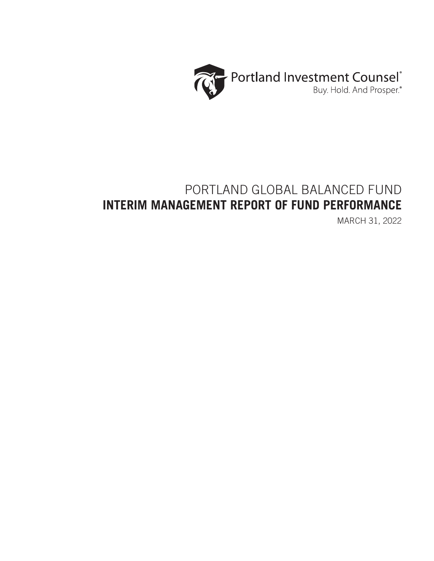

# PORTLAND GLOBAL BALANCED FUND **INTERIM MANAGEMENT REPORT OF FUND PERFORMANCE**

MARCH 31, 2022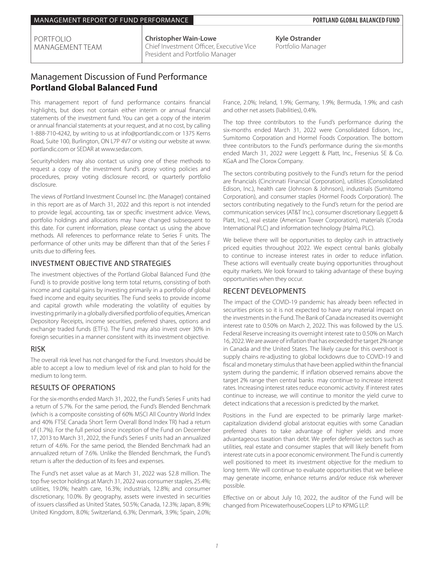**Christopher Wain-Lowe** Chief Investment Officer, Executive Vice President and Portfolio Manager

**Kyle Ostrander** Portfolio Manager

# Management Discussion of Fund Performance **Portland Global Balanced Fund**

This management report of fund performance contains financial highlights, but does not contain either interim or annual financial statements of the investment fund. You can get a copy of the interim or annual financial statements at your request, and at no cost, by calling 1-888-710-4242, by writing to us at info@portlandic.com or 1375 Kerns Road, Suite 100, Burlington, ON L7P 4V7 or visiting our website at www. portlandic.com or SEDAR at www.sedar.com.

Securityholders may also contact us using one of these methods to request a copy of the investment fund's proxy voting policies and procedures, proxy voting disclosure record, or quarterly portfolio disclosure.

The views of Portland Investment Counsel Inc. (the Manager) contained in this report are as of March 31, 2022 and this report is not intended to provide legal, accounting, tax or specific investment advice. Views, portfolio holdings and allocations may have changed subsequent to this date. For current information, please contact us using the above methods. All references to performance relate to Series F units. The performance of other units may be different than that of the Series F units due to differing fees.

### INVESTMENT OBJECTIVE AND STRATEGIES

The investment objectives of the Portland Global Balanced Fund (the Fund) is to provide positive long term total returns, consisting of both income and capital gains by investing primarily in a portfolio of global fixed income and equity securities. The Fund seeks to provide income and capital growth while moderating the volatility of equities by investing primarily in a globally diversified portfolio of equities, American Depository Receipts, income securities, preferred shares, options and exchange traded funds (ETFs). The Fund may also invest over 30% in foreign securities in a manner consistent with its investment objective.

### RISK

The overall risk level has not changed for the Fund. Investors should be able to accept a low to medium level of risk and plan to hold for the medium to long term.

### RESULTS OF OPERATIONS

For the six-months ended March 31, 2022, the Fund's Series F units had a return of 5.7%. For the same period, the Fund's Blended Benchmark (which is a composite consisting of 60% MSCI All Country World Index and 40% FTSE Canada Short Term Overall Bond Index TR) had a return of (1.7%). For the full period since inception of the Fund on December 17, 2013 to March 31, 2022, the Fund's Series F units had an annualized return of 4.6%. For the same period, the Blended Benchmark had an annualized return of 7.6%. Unlike the Blended Benchmark, the Fund's return is after the deduction of its fees and expenses.

The Fund's net asset value as at March 31, 2022 was \$2.8 million. The top five sector holdings at March 31, 2022 was consumer staples, 25.4%; utilities, 19.0%; health care, 16.3%; industrials, 12.8%; and consumer discretionary, 10.0%. By geography, assets were invested in securities of issuers classified as United States, 50.5%; Canada, 12.3%; Japan, 8.9%; United Kingdom, 8.0%; Switzerland, 6.3%; Denmark, 3.9%; Spain, 2.0%;

France, 2.0%; Ireland, 1.9%; Germany, 1.9%; Bermuda, 1.9%; and cash and other net assets (liabilities), 0.4%.

The top three contributors to the Fund's performance during the six-months ended March 31, 2022 were Consolidated Edison, Inc., Sumitomo Corporation and Hormel Foods Corporation. The bottom three contributors to the Fund's performance during the six-months ended March 31, 2022 were Leggett & Platt, Inc., Fresenius SE & Co. KGaA and The Clorox Company.

The sectors contributing positively to the Fund's return for the period are financials (Cincinnati Financial Corporation), utilities (Consolidated Edison, Inc.), health care (Johnson & Johnson), industrials (Sumitomo Corporation), and consumer staples (Hormel Foods Corporation). The sectors contributing negatively to the Fund's return for the period are communication services (AT&T Inc.), consumer discretionary (Leggett & Platt, Inc.), real estate (American Tower Corporation), materials (Croda International PLC) and information technology (Halma PLC).

We believe there will be opportunities to deploy cash in attractively priced equities throughout 2022. We expect central banks globally to continue to increase interest rates in order to reduce inflation. These actions will eventually create buying opportunities throughout equity markets. We look forward to taking advantage of these buying opportunities when they occur.

### RECENT DEVELOPMENTS

The impact of the COVID-19 pandemic has already been reflected in securities prices so it is not expected to have any material impact on the investments in the Fund. The Bank of Canada increased its overnight interest rate to 0.50% on March 2, 2022. This was followed by the U.S. Federal Reserve increasing its overnight interest rate to 0.50% on March 16, 2022. We are aware of inflation that has exceeded the target 2% range in Canada and the United States. The likely cause for this overshoot is supply chains re-adjusting to global lockdowns due to COVID-19 and fiscal and monetary stimulus that have been applied within the financial system during the pandemic. If inflation observed remains above the target 2% range then central banks may continue to increase interest rates. Increasing interest rates reduce economic activity. If interest rates continue to increase, we will continue to monitor the yield curve to detect indications that a recession is predicted by the market.

Positions in the Fund are expected to be primarily large marketcapitalization dividend global aristocrat equities with some Canadian preferred shares to take advantage of higher yields and more advantageous taxation than debt. We prefer defensive sectors such as utilities, real estate and consumer staples that will likely benefit from interest rate cuts in a poor economic environment. The Fund is currently well positioned to meet its investment objective for the medium to long term. We will continue to evaluate opportunities that we believe may generate income, enhance returns and/or reduce risk wherever possible.

Effective on or about July 10, 2022, the auditor of the Fund will be changed from PricewaterhouseCoopers LLP to KPMG LLP.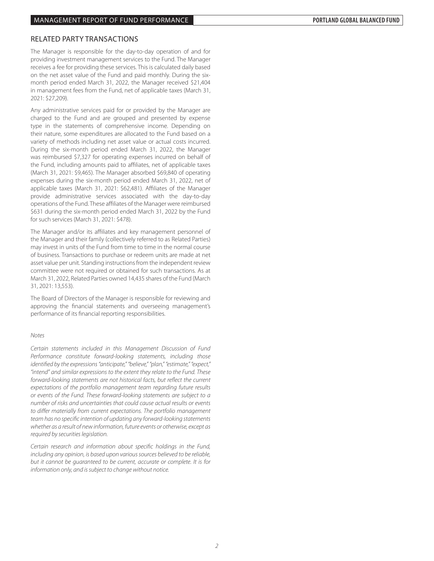### RELATED PARTY TRANSACTIONS

The Manager is responsible for the day-to-day operation of and for providing investment management services to the Fund. The Manager receives a fee for providing these services. This is calculated daily based on the net asset value of the Fund and paid monthly. During the sixmonth period ended March 31, 2022, the Manager received \$21,404 in management fees from the Fund, net of applicable taxes (March 31, 2021: \$27,209).

Any administrative services paid for or provided by the Manager are charged to the Fund and are grouped and presented by expense type in the statements of comprehensive income. Depending on their nature, some expenditures are allocated to the Fund based on a variety of methods including net asset value or actual costs incurred. During the six-month period ended March 31, 2022, the Manager was reimbursed \$7,327 for operating expenses incurred on behalf of the Fund, including amounts paid to affiliates, net of applicable taxes (March 31, 2021: \$9,465). The Manager absorbed \$69,840 of operating expenses during the six-month period ended March 31, 2022, net of applicable taxes (March 31, 2021: \$62,481). Affiliates of the Manager provide administrative services associated with the day-to-day operations of the Fund. These affiliates of the Manager were reimbursed \$631 during the six-month period ended March 31, 2022 by the Fund for such services (March 31, 2021: \$478).

The Manager and/or its affiliates and key management personnel of the Manager and their family (collectively referred to as Related Parties) may invest in units of the Fund from time to time in the normal course of business. Transactions to purchase or redeem units are made at net asset value per unit. Standing instructions from the independent review committee were not required or obtained for such transactions. As at March 31, 2022, Related Parties owned 14,435 shares of the Fund (March 31, 2021: 13,553).

The Board of Directors of the Manager is responsible for reviewing and approving the financial statements and overseeing management's performance of its financial reporting responsibilities.

#### *Notes*

*Certain statements included in this Management Discussion of Fund Performance constitute forward-looking statements, including those identified by the expressions "anticipate," "believe," "plan," "estimate," "expect," "intend" and similar expressions to the extent they relate to the Fund. These forward-looking statements are not historical facts, but reflect the current expectations of the portfolio management team regarding future results or events of the Fund. These forward-looking statements are subject to a number of risks and uncertainties that could cause actual results or events to differ materially from current expectations. The portfolio management team has no specific intention of updating any forward-looking statements whether as a result of new information, future events or otherwise, except as required by securities legislation.*

*Certain research and information about specific holdings in the Fund, including any opinion, is based upon various sources believed to be reliable, but it cannot be guaranteed to be current, accurate or complete. It is for information only, and is subject to change without notice.*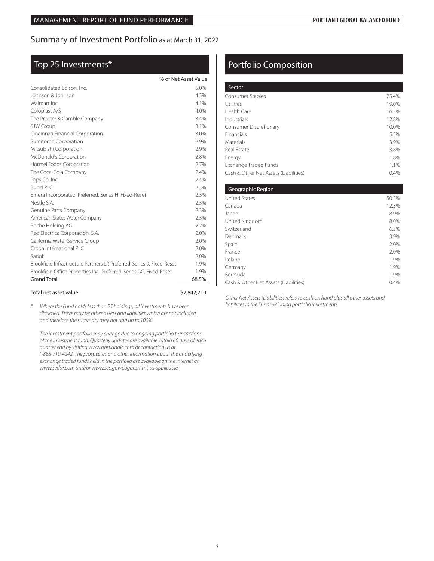# Summary of Investment Portfolio as at March 31, 2022

# Top 25 Investments\*

|                                                                         | % of Net Asset Value |
|-------------------------------------------------------------------------|----------------------|
| Consolidated Edison, Inc.                                               | 5.0%                 |
| Johnson & Johnson                                                       | 4.3%                 |
| Walmart Inc.                                                            | 4.1%                 |
| Coloplast A/S                                                           | 4.0%                 |
| The Procter & Gamble Company                                            | 3.4%                 |
| SJW Group                                                               | 3.1%                 |
| Cincinnati Financial Corporation                                        | 3.0%                 |
| Sumitomo Corporation                                                    | 2.9%                 |
| Mitsubishi Corporation                                                  | 2.9%                 |
| McDonald's Corporation                                                  | 2.8%                 |
| Hormel Foods Corporation                                                | 2.7%                 |
| The Coca-Cola Company                                                   | 2.4%                 |
| PepsiCo, Inc.                                                           | 2.4%                 |
| Bunzl PLC                                                               | 2.3%                 |
| Emera Incorporated, Preferred, Series H, Fixed-Reset                    | 2.3%                 |
| Nestle S.A.                                                             | 2.3%                 |
| Genuine Parts Company                                                   | 2.3%                 |
| American States Water Company                                           | 2.3%                 |
| Roche Holding AG                                                        | 2.2%                 |
| Red Electrica Corporacion, S.A.                                         | 2.0%                 |
| California Water Service Group                                          | 2.0%                 |
| Croda International PLC                                                 | 2.0%                 |
| Sanofi                                                                  | 2.0%                 |
| Brookfield Infrastructure Partners LP, Preferred, Series 9, Fixed-Reset | 1.9%                 |
| Brookfield Office Properties Inc., Preferred, Series GG, Fixed-Reset    | 1.9%                 |
| <b>Grand Total</b>                                                      | 68.5%                |
|                                                                         |                      |

#### Total net asset value \$2,842,210

*\* Where the Fund holds less than 25 holdings, all investments have been disclosed. There may be other assets and liabilities which are not included, and therefore the summary may not add up to 100%.*

*The investment portfolio may change due to ongoing portfolio transactions of the investment fund. Quarterly updates are available within 60 days of each quarter end by visiting www.portlandic.com or contacting us at 1-888-710-4242. The prospectus and other information about the underlying exchange traded funds held in the portfolio are available on the internet at www.sedar.com and/or www.sec.gov/edgar.shtml, as applicable.*

# Portfolio Composition

| Sector                                |       |
|---------------------------------------|-------|
| Consumer Staples                      | 25.4% |
| Utilities                             | 19.0% |
| Health Care                           | 16.3% |
| Industrials                           | 12.8% |
| Consumer Discretionary                | 10.0% |
| Financials                            | 5.5%  |
| <b>Materials</b>                      | 3.9%  |
| Real Estate                           | 3.8%  |
| Energy                                | 1.8%  |
| Exchange Traded Funds                 | 1.1%  |
| Cash & Other Net Assets (Liabilities) | 0.4%  |

| Geographic Region                     |       |
|---------------------------------------|-------|
| <b>United States</b>                  | 50.5% |
| Canada                                | 12.3% |
| Japan                                 | 8.9%  |
| United Kingdom                        | 8.0%  |
| Switzerland                           | 6.3%  |
| Denmark                               | 3.9%  |
| Spain                                 | 2.0%  |
| France                                | 2.0%  |
| Ireland                               | 1.9%  |
| Germany                               | 1.9%  |
| Bermuda                               | 1.9%  |
| Cash & Other Net Assets (Liabilities) | 0.4%  |

*Other Net Assets (Liabilities) refers to cash on hand plus all other assets and liabilities in the Fund excluding portfolio investments.*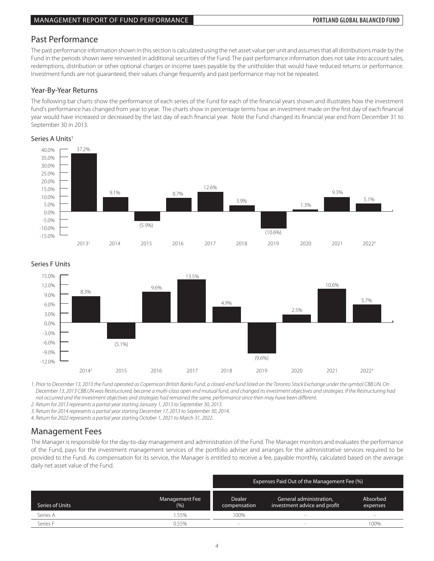## Past Performance

The past performance information shown in this section is calculated using the net asset value per unit and assumes that all distributions made by the Fund in the periods shown were reinvested in additional securities of the Fund. The past performance information does not take into account sales, redemptions, distribution or other optional charges or income taxes payable by the unitholder that would have reduced returns or performance. Investment funds are not guaranteed, their values change frequently and past performance may not be repeated.

### Year-By-Year Returns

The following bar charts show the performance of each series of the Fund for each of the financial years shown and illustrates how the investment The following bar charts show the performance of each senes of the Fund for each of the imancial years shown and industries how the investment<br>fund's performance has changed from year to year. The charts show in percentage year would have increased or decreased by the last day of each financial year. Note the Fund changed its financial year end from December 31 to .<br>September 30 in 2013.

#### Series A Units<sup>1</sup> Series A





Series F Units

-12.0% *December 13, 2013 CBB.UN was Restructured, became a multi-class open end mutual fund, and changed its investment objectives and strategies. If the Restructuring had*  not occurred and the investment objectives and strategies had remained the same, performance since then may have been different. 1. Prior to December 13, 2013 the Fund operated as Copernican British Banks Fund, a closed-end fund listed on the Toronto Stock Exchange under the symbol CBB.UN. On

*2. Return for 2013 represents a partial year starting January 1, 2013 to September 30, 2013.*

*3. Return for 2014 represents a partial year starting December 17, 2013 to September 30, 2014.*

*4. Return for 2022 represents a partial year starting October 1, 2021 to March 31, 2022.*

# Management Fees

The Manager is responsible for the day-to-day management and administration of the Fund. The Manager monitors and evaluates the performance of the Fund, pays for the investment management services of the portfolio adviser and arranges for the administrative services required to be provided to the Fund. As compensation for its service, the Manager is entitled to receive a fee, payable monthly, calculated based on the average daily net asset value of the Fund.

|                 |                       | Expenses Paid Out of the Management Fee (%) |                                                         |                      |  |  |
|-----------------|-----------------------|---------------------------------------------|---------------------------------------------------------|----------------------|--|--|
| Series of Units | Management Fee<br>(%) | <b>Dealer</b><br>compensation               | General administration,<br>investment advice and profit | Absorbed<br>expenses |  |  |
| Series A        | .55%                  | 100%                                        |                                                         | $\sim$               |  |  |
| Series F        | 0.55%                 | -                                           |                                                         | 100%                 |  |  |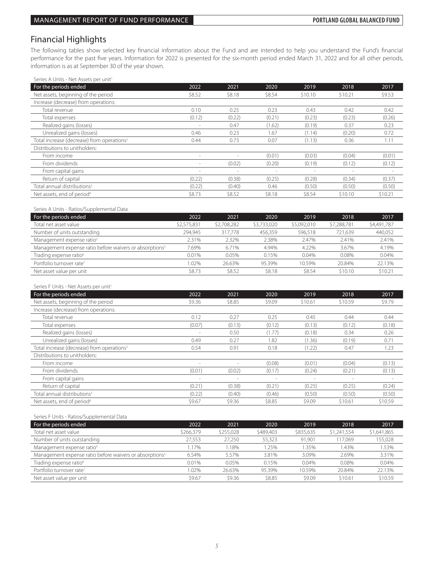# Financial Highlights

The following tables show selected key financial information about the Fund and are intended to help you understand the Fund's financial performance for the past five years. Information for 2022 is presented for the six-month period ended March 31, 2022 and for all other periods, information is as at September 30 of the year shown.

Series A Units - Net Assets per unit<sup>1</sup>

| For the periods ended                                  | 2022                     | 2021   | 2020   | 2019                     | 2018    | 2017    |
|--------------------------------------------------------|--------------------------|--------|--------|--------------------------|---------|---------|
| Net assets, beginning of the period                    | \$8.52                   | \$8.18 | \$8.54 | \$10.10                  | \$10.21 | \$9.53  |
| Increase (decrease) from operations:                   |                          |        |        |                          |         |         |
| Total revenue                                          | 0.10                     | 0.25   | 0.23   | 0.43                     | 0.42    | 0.42    |
| Total expenses                                         | (0.12)                   | (0.22) | (0.21) | (0.23)                   | (0.23)  | (0.26)  |
| Realized gains (losses)                                | ÷.                       | 0.47   | (1.62) | (0.19)                   | 0.37    | 0.23    |
| Unrealized gains (losses)                              | 0.46                     | 0.23   | 1.67   | (1.14)                   | (0.20)  | 0.72    |
| Total increase (decrease) from operations <sup>2</sup> | 0.44                     | 0.73   | 0.07   | (1.13)                   | 0.36    | 1.11    |
| Distributions to unitholders:                          |                          |        |        |                          |         |         |
| From income                                            | $\overline{\phantom{a}}$ |        | (0.01) | (0.03)                   | (0.04)  | (0.01)  |
| From dividends                                         | $\sim$                   | (0.02) | (0.20) | (0.19)                   | (0.12)  | (0.12)  |
| From capital gains                                     | $\overline{\phantom{a}}$ | $\sim$ | $\sim$ | $\overline{\phantom{a}}$ | $\sim$  |         |
| Return of capital                                      | (0.22)                   | (0.38) | (0.25) | (0.28)                   | (0.34)  | (0.37)  |
| Total annual distributions <sup>3</sup>                | (0.22)                   | (0.40) | 0.46   | (0.50)                   | (0.50)  | (0.50)  |
| Net assets, end of period <sup>4</sup>                 | \$8.73                   | \$8.52 | \$8.18 | \$8.54                   | \$10.10 | \$10.21 |

Series A Units - Ratios/Supplemental Data

| For the periods ended                                               | 2022        | 2021        | 2020        | 2019        | 2018        | 2017        |
|---------------------------------------------------------------------|-------------|-------------|-------------|-------------|-------------|-------------|
| Total net asset value                                               | \$2,575,831 | \$2,708,282 | \$3,733,020 | \$5,092,010 | \$7,288,781 | \$4,491,787 |
| Number of units outstanding                                         | 294.945     | 317.778     | 456.359     | 596.518     | 721.639     | 440,052     |
| Management expense ratio <sup>5</sup>                               | 2.31%       | 2.32%       | 2.38%       | 2.47%       | 2.41%       | 2.41%       |
| Management expense ratio before waivers or absorptions <sup>5</sup> | 7.69%       | 6.71%       | 4.94%       | 4.22%       | 3.67%       | 4.19%       |
| Trading expense ratio <sup>6</sup>                                  | 0.01%       | 0.05%       | 0.15%       | 0.04%       | 0.08%       | 0.04%       |
| Portfolio turnover rate <sup>7</sup>                                | 1.02%       | 26.63%      | 95.39%      | 10.59%      | 20.84%      | 22.13%      |
| Net asset value per unit                                            | \$8.73      | \$8.52      | \$8.18      | \$8.54      | \$10.10     | \$10.21     |

#### Series F Units - Net Assets per unit<sup>1</sup>

| For the periods ended                                  | 2022                     | 2021   | 2020                     | 2019                     | 2018    | 2017    |
|--------------------------------------------------------|--------------------------|--------|--------------------------|--------------------------|---------|---------|
| Net assets, beginning of the period                    | \$9.36                   | \$8.85 | \$9.09                   | \$10.61                  | \$10.59 | \$9.79  |
| Increase (decrease) from operations:                   |                          |        |                          |                          |         |         |
| Total revenue                                          | 0.12                     | 0.27   | 0.25                     | 0.45                     | 0.44    | 0.44    |
| Total expenses                                         | (0.07)                   | (0.13) | (0.12)                   | (0.13)                   | (0.12)  | (0.18)  |
| Realized gains (losses)                                |                          | 0.50   | (1.77)                   | (0.18)                   | 0.34    | 0.26    |
| Unrealized gains (losses)                              | 0.49                     | 0.27   | 1.82                     | (1.36)                   | (0.19)  | 0.71    |
| Total increase (decrease) from operations <sup>2</sup> | 0.54                     | 0.91   | 0.18                     | (1.22)                   | 0.47    | 1.23    |
| Distributions to unitholders:                          |                          |        |                          |                          |         |         |
| From income                                            |                          |        | (0.08)                   | (0.01)                   | (0.04)  | (0.13)  |
| From dividends                                         | (0.01)                   | (0.02) | (0.17)                   | (0.24)                   | (0.21)  | (0.13)  |
| From capital gains                                     | $\overline{\phantom{a}}$ | $\sim$ | $\overline{\phantom{a}}$ | $\overline{\phantom{a}}$ |         |         |
| Return of capital                                      | (0.21)                   | (0.38) | (0.21)                   | (0.25)                   | (0.25)  | (0.24)  |
| Total annual distributions <sup>3</sup>                | (0.22)                   | (0.40) | (0.46)                   | (0.50)                   | (0.50)  | (0.50)  |
| Net assets, end of period <sup>4</sup>                 | \$9.67                   | \$9.36 | \$8.85                   | \$9.09                   | \$10.61 | \$10.59 |

Series F Units - Ratios/Supplemental Data

| For the periods ended                                               | 2022      | 2021      | 2020      | 2019      | 2018        | 2017        |
|---------------------------------------------------------------------|-----------|-----------|-----------|-----------|-------------|-------------|
| Total net asset value                                               | \$266.379 | \$255,028 | \$489.403 | \$835,635 | \$1,241,554 | \$1,641,865 |
| Number of units outstanding                                         | 27.553    | 27.250    | 55.323    | 91.901    | 117.069     | 155,028     |
| Management expense ratio <sup>5</sup>                               | .17%      | 1.18%     | 1.25%     | .35%      | .43%        | 1.53%       |
| Management expense ratio before waivers or absorptions <sup>5</sup> | 6.54%     | 5.57%     | 3.81%     | 3.09%     | 2.69%       | 3.31%       |
| Trading expense ratio <sup>6</sup>                                  | 0.01%     | 0.05%     | 0.15%     | 0.04%     | 0.08%       | 0.04%       |
| Portfolio turnover rate <sup>7</sup>                                | .02%      | 26.63%    | 95.39%    | 10.59%    | 20.84%      | 22.13%      |
| Net asset value per unit                                            | \$9.67    | \$9.36    | \$8.85    | \$9.09    | \$10.61     | \$10.59     |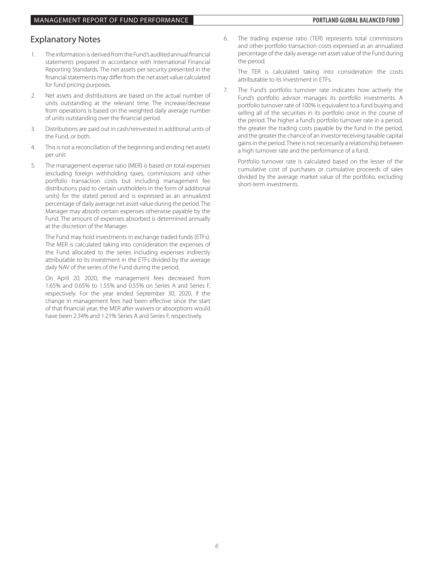# Explanatory Notes

- 1. The information is derived from the Fund's audited annual financial statements prepared in accordance with International Financial Reporting Standards. The net assets per security presented in the financial statements may differ from the net asset value calculated for fund pricing purposes.
- 2. Net assets and distributions are based on the actual number of units outstanding at the relevant time. The increase/decrease from operations is based on the weighted daily average number of units outstanding over the financial period.
- 3. Distributions are paid out in cash/reinvested in additional units of the Fund, or both.
- 4. This is not a reconciliation of the beginning and ending net assets per unit.
- 5. The management expense ratio (MER) is based on total expenses (excluding foreign withholding taxes, commissions and other portfolio transaction costs but including management fee distributions paid to certain unitholders in the form of additional units) for the stated period and is expressed as an annualized percentage of daily average net asset value during the period. The Manager may absorb certain expenses otherwise payable by the Fund. The amount of expenses absorbed is determined annually at the discretion of the Manager.

 The Fund may hold investments in exchange traded funds (ETFs). The MER is calculated taking into consideration the expenses of the Fund allocated to the series including expenses indirectly attributable to its investment in the ETFs divided by the average daily NAV of the series of the Fund during the period.

 On April 20, 2020, the management fees decreased from 1.65% and 0.65% to 1.55% and 0.55% on Series A and Series F, respectively. For the year ended September 30, 2020, if the change in management fees had been effective since the start of that financial year, the MER after waivers or absorptions would have been 2.34% and 1.21% Series A and Series F, respectively.

6. The trading expense ratio (TER) represents total commissions and other portfolio transaction costs expressed as an annualized percentage of the daily average net asset value of the Fund during the period.

 The TER is calculated taking into consideration the costs attributable to its investment in ETFs.

7. The Fund's portfolio turnover rate indicates how actively the Fund's portfolio advisor manages its portfolio investments. A portfolio turnover rate of 100% is equivalent to a fund buying and selling all of the securities in its portfolio once in the course of the period. The higher a fund's portfolio turnover rate in a period, the greater the trading costs payable by the fund in the period, and the greater the chance of an investor receiving taxable capital gains in the period. There is not necessarily a relationship between a high turnover rate and the performance of a fund.

 Portfolio turnover rate is calculated based on the lesser of the cumulative cost of purchases or cumulative proceeds of sales divided by the average market value of the portfolio, excluding short-term investments.